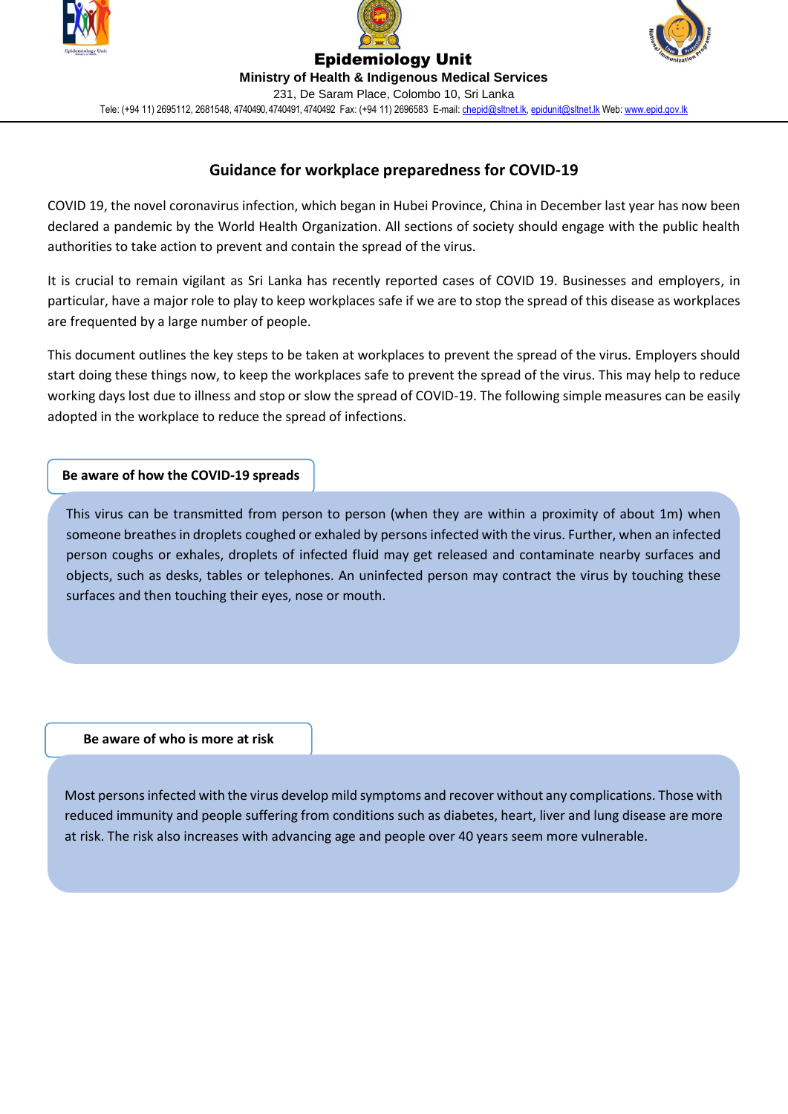





Epidemiology Unit **Ministry of Health & Indigenous Medical Services** 231, De Saram Place, Colombo 10, Sri Lanka Tele: (+94 11) 2695112, 2681548, 4740490, 4740491, 4740492 Fax: (+94 11) 2696583 E-mail[: chepid@sltnet.lk,](mailto:chepi@sltnet.lk) [epidunit@sltnet.lk](mailto:epidunit@sltnet.lk) Web[: www.epid.gov.lk](http://www.epid.gov.lk/)

# **Guidance for workplace preparedness for COVID-19**

COVID 19, the novel coronavirus infection, which began in Hubei Province, China in December last year has now been declared a pandemic by the World Health Organization. All sections of society should engage with the public health authorities to take action to prevent and contain the spread of the virus.

It is crucial to remain vigilant as Sri Lanka has recently reported cases of COVID 19. Businesses and employers, in particular, have a major role to play to keep workplaces safe if we are to stop the spread of this disease as workplaces are frequented by a large number of people.

This document outlines the key steps to be taken at workplaces to prevent the spread of the virus. Employers should start doing these things now, to keep the workplaces safe to prevent the spread of the virus. This may help to reduce working days lost due to illness and stop or slow the spread of COVID-19. The following simple measures can be easily adopted in the workplace to reduce the spread of infections.

## **Be aware of how the COVID-19 spreads**

This virus can be transmitted from person to person (when they are within a proximity of about 1m) when someone breathes in droplets coughed or exhaled by persons infected with the virus. Further, when an infected person coughs or exhales, droplets of infected fluid may get released and contaminate nearby surfaces and objects, such as desks, tables or telephones. An uninfected person may contract the virus by touching these surfaces and then touching their eyes, nose or mouth.

**Be aware of who is more at risk**

Most persons infected with the virus develop mild symptoms and recover without any complications. Those with reduced immunity and people suffering from conditions such as diabetes, heart, liver and lung disease are more at risk. The risk also increases with advancing age and people over 40 years seem more vulnerable.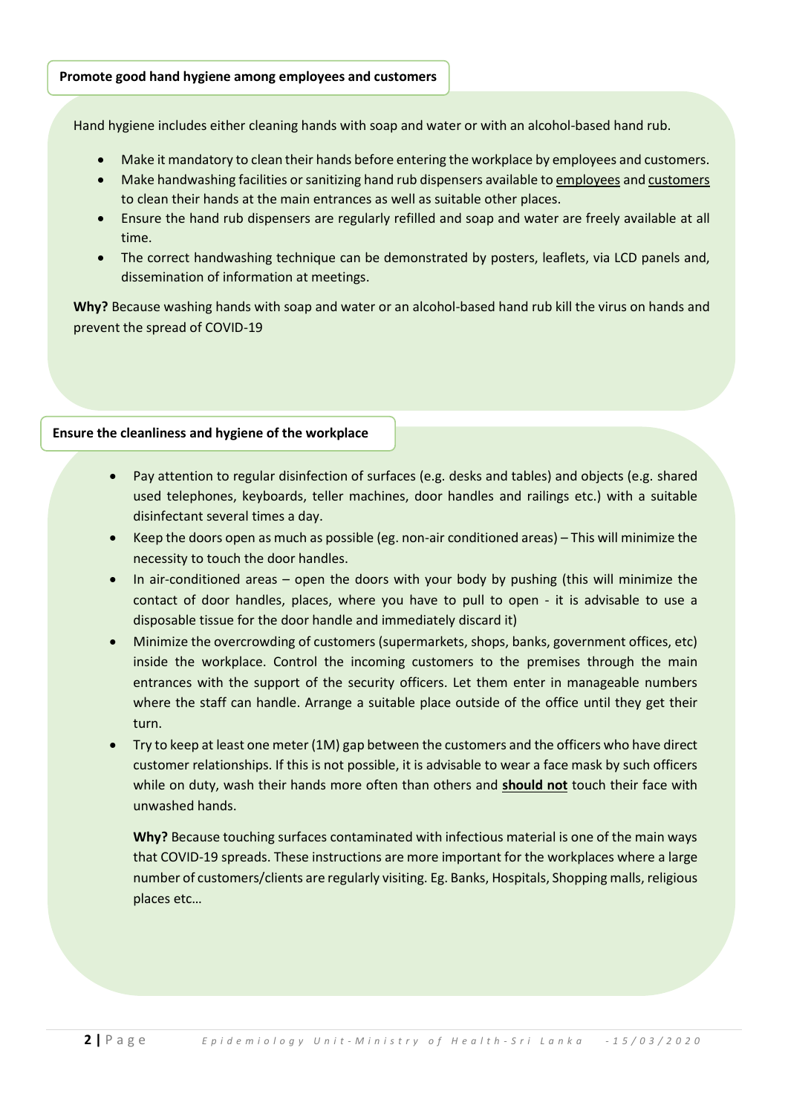#### **Promote good hand hygiene among employees and customers**

Hand hygiene includes either cleaning hands with soap and water or with an alcohol-based hand rub.

- Make it mandatory to clean their hands before entering the workplace by employees and customers.
- Make handwashing facilities or sanitizing hand rub dispensers available to employees and customers to clean their hands at the main entrances as well as suitable other places.
- Ensure the hand rub dispensers are regularly refilled and soap and water are freely available at all time.
- The correct handwashing technique can be demonstrated by posters, leaflets, via LCD panels and, dissemination of information at meetings.

**Why?** Because washing hands with soap and water or an alcohol-based hand rub kill the virus on hands and prevent the spread of COVID-19

#### **Ensure the cleanliness and hygiene of the workplace**

- Pay attention to regular disinfection of surfaces (e.g. desks and tables) and objects (e.g. shared used telephones, keyboards, teller machines, door handles and railings etc.) with a suitable disinfectant several times a day.
- Keep the doors open as much as possible (eg. non-air conditioned areas) This will minimize the necessity to touch the door handles.
- In air-conditioned areas open the doors with your body by pushing (this will minimize the contact of door handles, places, where you have to pull to open - it is advisable to use a disposable tissue for the door handle and immediately discard it)
- Minimize the overcrowding of customers (supermarkets, shops, banks, government offices, etc) inside the workplace. Control the incoming customers to the premises through the main entrances with the support of the security officers. Let them enter in manageable numbers where the staff can handle. Arrange a suitable place outside of the office until they get their turn.
- Try to keep at least one meter (1M) gap between the customers and the officers who have direct customer relationships. If this is not possible, it is advisable to wear a face mask by such officers while on duty, wash their hands more often than others and **should not** touch their face with unwashed hands.

**Why?** Because touching surfaces contaminated with infectious material is one of the main ways that COVID-19 spreads. These instructions are more important for the workplaces where a large number of customers/clients are regularly visiting. Eg. Banks, Hospitals, Shopping malls, religious places etc…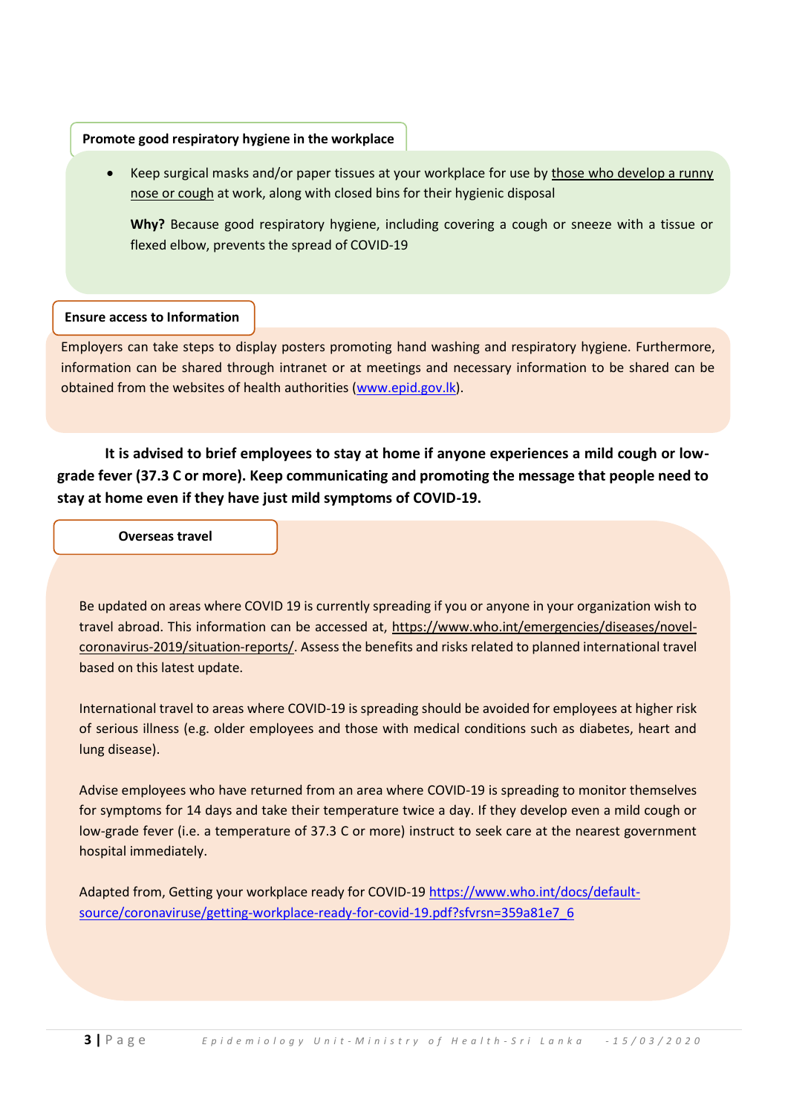## **Promote good respiratory hygiene in the workplace**

• Keep surgical masks and/or paper tissues at your workplace for use by those who develop a runny nose or cough at work, along with closed bins for their hygienic disposal

**Why?** Because good respiratory hygiene, including covering a cough or sneeze with a tissue or flexed elbow, prevents the spread of COVID-19

## **Ensure access to Information**

Employers can take steps to display posters promoting hand washing and respiratory hygiene. Furthermore, information can be shared through intranet or at meetings and necessary information to be shared can be obtained from the websites of health authorities [\(www.epid.gov.lk\)](http://www.epid.gov.lk/).

**It is advised to brief employees to stay at home if anyone experiences a mild cough or lowgrade fever (37.3 C or more). Keep communicating and promoting the message that people need to stay at home even if they have just mild symptoms of COVID-19.**

**Overseas travel**

Be updated on areas where COVID 19 is currently spreading if you or anyone in your organization wish to travel abroad. This information can be accessed at, [https://www.who.int/emergencies/diseases/novel](https://www.who.int/emergencies/diseases/novel-coronavirus-2019/situation-reports/)[coronavirus-2019/situation-reports/.](https://www.who.int/emergencies/diseases/novel-coronavirus-2019/situation-reports/) Assess the benefits and risks related to planned international travel based on this latest update.

International travel to areas where COVID-19 is spreading should be avoided for employees at higher risk of serious illness (e.g. older employees and those with medical conditions such as diabetes, heart and lung disease).

Advise employees who have returned from an area where COVID-19 is spreading to monitor themselves for symptoms for 14 days and take their temperature twice a day. If they develop even a mild cough or low-grade fever (i.e. a temperature of 37.3 C or more) instruct to seek care at the nearest government hospital immediately.

Adapted from, Getting your workplace ready for COVID-19 [https://www.who.int/docs/default](https://www.who.int/docs/default-source/coronaviruse/getting-workplace-ready-for-covid-19.pdf?sfvrsn=359a81e7_6)[source/coronaviruse/getting-workplace-ready-for-covid-19.pdf?sfvrsn=359a81e7\\_6](https://www.who.int/docs/default-source/coronaviruse/getting-workplace-ready-for-covid-19.pdf?sfvrsn=359a81e7_6)